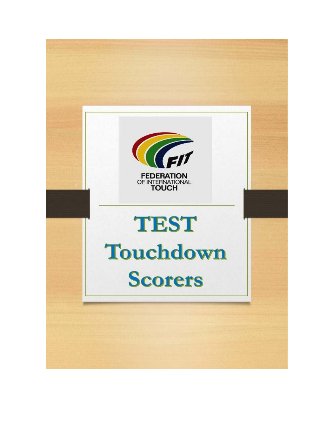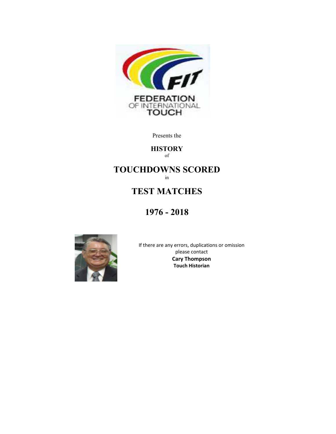

Presents the

#### **HISTORY** of

# **TOUCHDOWNS SCORED**

in

## **TEST MATCHES**

## **1976 - 2018**



If there are any errors, duplications or omission please contact **Cary Thompson Touch Historian**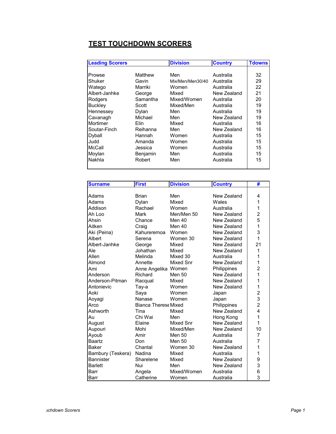#### **TEST TOUCHDOWN SCORERS**

| <b>Leading Scorers</b> |          | <b>Division</b>  | <b>Country</b> | <b>Tdowns</b> |
|------------------------|----------|------------------|----------------|---------------|
|                        |          |                  |                |               |
| Prowse                 | Matthew  | Men              | Australia      | 32            |
| Shuker                 | Gavin    | Mix/Men/Men30/40 | Australia      | 29            |
| Watego                 | Marriki  | Women            | Australia      | 22            |
| Albert-Janhke          | George   | Mixed            | New Zealand    | 21            |
| Rodgers                | Samantha | Mixed/Women      | Australia      | 20            |
| <b>Buckley</b>         | Scott    | Mixed/Men        | Australia      | 19            |
| Hennessey              | Dylan    | Men              | Australia      | 19            |
| Cavanagh               | Michael  | Men              | New Zealand    | 19            |
| Mortimer               | Flin     | Mixed            | Australia      | 16            |
| Soutar-Finch           | Reihanna | Men              | New Zealand    | 16            |
| Dyball                 | Hannah   | Women            | Australia      | 15            |
| Judd                   | Amanda   | Women            | Australia      | 15            |
| McCall                 | Jessica  | Women            | Australia      | 15            |
| Moylan                 | Benjamin | Men              | Australia      | 15            |
| Nakhla                 | Robert   | Men              | Australia      | 15            |
|                        |          |                  |                |               |

| <b>Surname</b>    | <b>First</b>                | <b>Division</b>  | <b>Country</b> | #                       |
|-------------------|-----------------------------|------------------|----------------|-------------------------|
|                   |                             |                  |                |                         |
| Adams             | <b>Brian</b>                | Men              | New Zealand    | 4                       |
| Adams             | Dylan                       | Mixed            | Wales          | 1                       |
| Addison           | Rachael                     | Women            | Australia      | 1                       |
| Ah Loo            | Mark                        | Men/Men 50       | New Zealand    | $\overline{c}$          |
| Ahsin             | Chance                      | Men 40           | New Zealand    | 5                       |
| Aitken            | Craig                       | Men 40           | New Zealand    | $\mathbf{1}$            |
| Aki (Peina)       | Kahureremoa                 | Women            | New Zealand    | 3                       |
| Albert            | Serena                      | Women 30         | New Zealand    | 1                       |
| Albert-Janhke     | George                      | Mixed            | New Zealand    | 21                      |
| Ale               | Johathan                    | Mixed            | New Zealand    | 1                       |
| Allen             | Melinda                     | Mixed 30         | Australia      | 1                       |
| Almond            | Annette                     | <b>Mixed Snr</b> | New Zealand    | 1                       |
| Ami               | Anne Angelika Women         |                  | Philippines    | $\overline{2}$          |
| Anderson          | Richard                     | Men 50           | New Zealand    | 1                       |
| Anderson-Pitman   | Racqual                     | Mixed            | New Zealand    | 1                       |
| Antonievic        | Tay-a                       | Women            | New Zealand    | 1                       |
| Aoki              | Saya                        | Women            | Japan          | $\overline{\mathbf{c}}$ |
| Aoyagi            | Nanase                      | Women            | Japan          | 3                       |
| Arco              | <b>Bianca Therese Mixed</b> |                  | Philippines    | $\overline{2}$          |
| Ashworth          | Tina                        | Mixed            | New Zealand    | 4                       |
| Au                | Chi Wai                     | Men              | Hong Kong      | 1                       |
| August            | Elaine                      | Mixed Snr        | New Zealand    | 1                       |
| Aupouri           | Mohi                        | Mixed/Men        | New Zealand    | 10                      |
| Ayoub             | Amir                        | Men 50           | Australia      | 7                       |
| <b>Baartz</b>     | Don                         | Men 50           | Australia      | 7                       |
| <b>Baker</b>      | Chantal                     | Women 30         | New Zealand    | 1                       |
| Bambury (Teskera) | Nadina                      | Mixed            | Australia      | 1                       |
| <b>Bannister</b>  | Sharelene                   | Mixed            | New Zealand    | 9                       |
| <b>Barlett</b>    | Nui                         | Men              | New Zealand    | 3                       |
| Barr              | Angela                      | Mixed/Women      | Australia      | 6                       |
| Barr              | Catherine                   | Women            | Australia      | 3                       |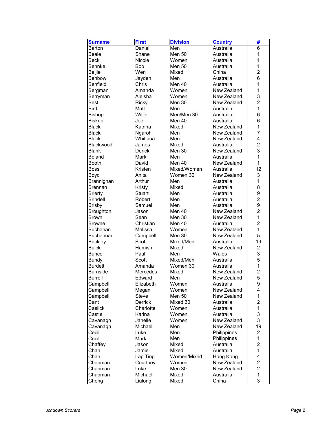| <b>Surname</b>   | <b>First</b>   | <b>Division</b> | <b>Country</b> | #              |
|------------------|----------------|-----------------|----------------|----------------|
| Barton           | Daniel         | Men             | Australia      | 6              |
| Beale            | Shane          | <b>Men 50</b>   | Australia      | 1              |
| Beck             | Nicole         | Women           | Australia      | 1              |
| Behnke           | Bob            | <b>Men 50</b>   | Australia      | 1              |
| <b>Beijie</b>    | Wen            | Mixed           | China          | 2              |
| Benbow           | Jayden         | Men             | Australia      | 6              |
| <b>Benfield</b>  | Chris          | Men 40          | Australia      | 1              |
| Bergman          | Amanda         | Women           | New Zealand    | $\mathbf{1}$   |
| Berryman         | Aleisha        | Women           | New Zealand    | 3              |
| <b>Best</b>      | Ricky          | Men 30          | New Zealand    | $\overline{c}$ |
| <b>Bird</b>      | Matt           | Men             | Australia      | 1              |
| <b>Bishop</b>    | Willie         | Men/Men 30      | Australia      | 6              |
| <b>Biskup</b>    | Joe            | Men 40          | Australia      | 6              |
| <b>Black</b>     | Katrina        | Mixed           | New Zealand    | 1              |
| <b>Black</b>     | Ngarohi        | Men             | New Zealand    | 7              |
| <b>Black</b>     | Whitiaua       | Men             | New Zealand    | 4              |
| Blackwood        | James          | Mixed           | Australia      | $\overline{2}$ |
| <b>Blank</b>     | <b>Derick</b>  | Men 30          | New Zealand    | 3              |
| <b>Boland</b>    | <b>Mark</b>    | Men             | Australia      | 1              |
| <b>Booth</b>     | David          | Men $40$        | New Zealand    | $\mathbf{1}$   |
| <b>Boss</b>      | Kristen        | Mixed/Women     | Australia      | 12             |
| Boyd             | Anita          | Women 30        | New Zealand    | 3              |
| Brannighan       | Arthur         | Men             | Australia      | 1              |
| <b>Brennan</b>   | Kristy         | Mixed           | Australia      | 8              |
| <b>Brierty</b>   | <b>Stuart</b>  | Men             | Australia      | 9              |
| <b>Brindell</b>  | Robert         | Men             | Australia      | $\overline{2}$ |
| <b>Brisby</b>    | Samuel         | Men             | Australia      | 9              |
| <b>Broughton</b> | Jason          | Men 40          | New Zealand    | $\overline{c}$ |
| <b>Brown</b>     | Sean           | Men 30          | New Zealand    | 1              |
| <b>Browne</b>    | Christian      | Men 40          | Australia      | $\overline{2}$ |
| <b>Buchanan</b>  | Melissa        | Women           | New Zealand    | $\mathbf{1}$   |
| Buchannan        | Campbell       | Men 30          | New Zealand    | 5              |
| <b>Buckley</b>   | Scott          | Mixed/Men       | Australia      | 19             |
| <b>Buick</b>     | Hamish         | Mixed           | New Zealand    | $\overline{c}$ |
| <b>Bunce</b>     | Paul           | Men             | Wales          | 3              |
| <b>Bundy</b>     | Scott          | Mixed/Men       | Australia      | 5              |
| <b>Burdett</b>   | Amanda         | Women 30        | Australia      | 1              |
| <b>Burnside</b>  | Mercedes       | Mixed           | New Zealand    | $\overline{c}$ |
| <b>Burrell</b>   | Edward         | Men             | New Zealand    | 5              |
| Campbell         | Elizabeth      | Women           | Australia      | 9              |
| Campbell         | Megan          | Women           | New Zealand    | 4              |
| Campbell         | <b>Steve</b>   | <b>Men 50</b>   | New Zealand    | 1              |
| Cant             | <b>Derrick</b> | Mixed 30        | Australia      | $\overline{c}$ |
| Caslick          | Charlotte      | Women           | Australia      | 1              |
| Castle           | Karina         | Women           | Australia      | 3              |
| Cavanagh         | Janelle        | Women           | New Zealand    | 3              |
| Cavanagh         | Michael        | Men             | New Zealand    | 19             |
| Cecil            | Luke           | Men             | Philippines    | $\overline{2}$ |
| Cecil            | <b>Mark</b>    | Men             | Philippines    | 1              |
| Chaffey          | Jason          | Mixed           | Australia      | $\overline{c}$ |
| Chan             | Jamie          | Mixed           | Australia      | 1              |
| Chan             | Lap Ting       | Women/Mixed     | Hong Kong      | 4              |
| Chapman          | Courtney       | Women           | New Zealand    | $\overline{c}$ |
| Chapman          | Luke           | Men 30          | New Zealand    | $\overline{2}$ |
| Chapman          | Michael        | Mixed           | Australia      | 1              |
| Cheng            | Liulong        | Mixed           | China          | 3              |
|                  |                |                 |                |                |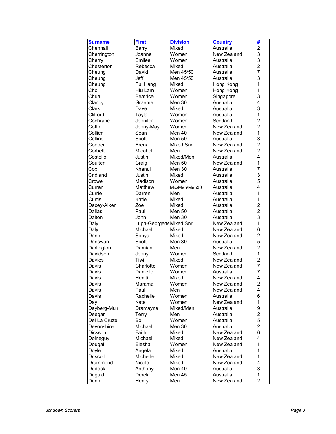| <b>Surname</b> | <b>First</b>             | <b>Division</b> | <b>Country</b> | #              |
|----------------|--------------------------|-----------------|----------------|----------------|
| Chenhall       | <b>Barry</b>             | Mixed           | Australia      | $\overline{2}$ |
| Cherrington    | Joanne                   | Women           | New Zealand    | 3              |
| Cherry         | Emilee                   | Women           | Australia      | 3              |
| Chesterton     | Rebecca                  | Mixed           | Australia      | $\overline{c}$ |
| Cheung         | David                    | Men 45/50       | Australia      | $\overline{7}$ |
| Cheung         | Jeff                     | Men 45/50       | Australia      | 3              |
| Cheung         | Pui Hang                 | Mixed           | Hong Kong      | 1              |
| Choi           | Hiu Lam                  | Women           | Hong Kong      | 1              |
| Chua           | <b>Beatrice</b>          | Women           | Singapore      | 3              |
| Clancy         | Graeme                   | Men 30          | Australia      | 4              |
| Clark          | Dave                     | Mixed           | Australia      | 3              |
| Clifford       | Tayla                    | Women           | Australia      | 1              |
| Cochrane       | Jennifer                 | Women           | Scotland       | $\overline{c}$ |
| Coffin         | Jenny-May                | Women           | New Zealand    | $\overline{2}$ |
| Collier        | Sean                     | Men 40          | New Zealand    | $\mathbf{1}$   |
| Collins        | Scott                    | <b>Men 50</b>   | Australia      | 3              |
| Cooper         | Erena                    | Mixed Snr       | New Zealand    | $\overline{2}$ |
| Corbett        | Micahel                  | Men             | New Zealand    | $\overline{2}$ |
| Costello       | Justin                   | Mixed/Men       | Australia      | 4              |
| Coulter        | Craig                    | <b>Men 50</b>   | New Zealand    | $\mathbf{1}$   |
| Cox            | Khanui                   | Men 30          | Australia      | 7              |
| Cridland       | Justin                   | Mixed           | Australia      | 3              |
| Crowe          | Madison                  | Women           | Australia      | 5              |
| Curran         | Matthew                  | Mix/Men/Men30   | Australia      | 4              |
| Currie         | Darren                   | Men             | Australia      | $\mathbf{1}$   |
| Curtis         | Katie                    | Mixed           | Australia      | $\mathbf{1}$   |
| Dacey-Aiken    | Zoe                      | Mixed           | Australia      | $\overline{c}$ |
| Dallas         | Paul                     | <b>Men 50</b>   | Australia      | $\overline{c}$ |
| Dalton         | <b>John</b>              | Men 30          | Australia      | 3              |
| Daly           | Lupa-Georgette Mixed Snr |                 | New Zealand    | 1              |
| Daly           | Michael                  | Mixed           | New Zealand    | 6              |
| Dann           | Sonya                    | Mixed           | New Zealand    | $\overline{2}$ |
| Danswan        | Scott                    | Men 30          | Australia      | 5              |
| Darlington     | Damian                   | Men             | New Zealand    | $\overline{2}$ |
| Davidson       | Jenny                    | Women           | Scotland       | $\mathbf{1}$   |
| Davies         | Tiwi                     | Mixed           | New Zealand    | $\overline{c}$ |
| Davis          | Charlotte                | Women           | New Zealand    | 7              |
| Davis          | Danielle                 | Women           | Australia      | 7              |
| Davis          | Heniti                   | Mixed           | New Zealand    | 4              |
| Davis          | Marama                   | Women           | New Zealand    | $\overline{a}$ |
| Davis          | Paul                     | Men             | New Zealand    | 4              |
| Davis          | Rachelle                 | Women           | Australia      | 6              |
| Day            | Kate                     | Women           | New Zealand    | 1              |
| Dayberg-Muir   | Dramayne                 | Mixed/Men       | Australia      | 9              |
| Deegan         | Terry                    | Men             | Australia      | $\overline{c}$ |
| Del La Cruze   | Bo                       | Women           | Australia      | 5              |
| Devonshire     | Michael                  | Men 30          | Australia      | $\overline{c}$ |
| Dickson        | Faith                    | Mixed           | New Zealand    | 6              |
| Dolneguy       | Michael                  | Mixed           | New Zealand    | 4              |
| Dougal         | Elesha                   | Women           | New Zealand    | 1              |
| Doyle          | Angela                   | Mixed           | Australia      | 1              |
| Driscoll       | Michelle                 | Mixed           | New Zealand    | 1              |
| Drummond       | Nicole                   | Mixed           | New Zealand    | 4              |
| <b>Dudeck</b>  | Anthony                  | Men 40          | Australia      | 3              |
| Duguid         | Derek                    | Men 45          | Australia      | 1              |
| Dunn           | Henry                    | Men             | New Zealand    | $\overline{2}$ |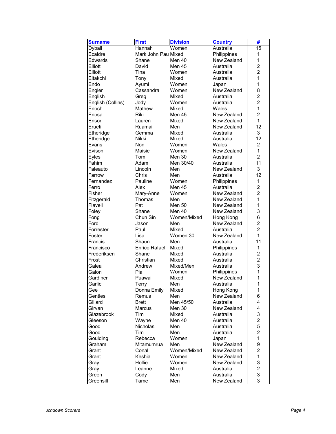| <b>Surname</b>    | <b>First</b>        | <b>Division</b> | <b>Country</b> | #                              |
|-------------------|---------------------|-----------------|----------------|--------------------------------|
| <b>Dyball</b>     | Hannah              | Women           | Australia      | 15                             |
| Ecaldre           | Mark John Pau Mixed |                 | Philippines    | 1                              |
| Edwards           | Shane               | Men 40          | New Zealand    | 1                              |
| Elliott           | David               | Men 45          | Australia      | $\overline{2}$                 |
| Elliott           | Tina                | Women           | Australia      | $\overline{c}$                 |
| Eltakchi          | Tony                | Mixed           | Australia      | $\mathbf{1}$                   |
| Endo              | Ayumi               | Women           | Japan          | $\mathbf{1}$                   |
| Engler            | Cassandra           | Women           | New Zealand    | 8                              |
| English           | Greg                | Mixed           | Australia      | $\overline{\mathbf{c}}$        |
| English (Collins) | Jody                | Women           | Australia      | $\overline{c}$                 |
| Enoch             | Mathew              | Mixed           | Wales          | $\mathbf{1}$                   |
| Enosa             | Riki                | Men 45          | New Zealand    | $\overline{2}$                 |
| Ensor             | Lauren              | Mixed           | New Zealand    | $\mathbf{1}$                   |
| Erueti            | Ruamai              | Men             | New Zealand    | 12                             |
| Etheridge         | Gemma               | Mixed           | Australia      | 3                              |
| Etheridge         | <b>Nikki</b>        | Mixed           | Australia      | 12                             |
| Evans             | Non                 | Women           | Wales          | $\overline{c}$                 |
| Evison            | Maisie              | Women           | New Zealand    | 1                              |
| Eyles             | Tom                 | Men 30          | Australia      | $\overline{2}$                 |
| Fahim             | Adam                | Men 30/40       | Australia      | 11                             |
| Faleauto          | Lincoln             | Men             | New Zealand    | 3                              |
| Farrow            | Chris               | Men             | Australia      | 12                             |
| Fernandez         | Pauline             | Women           | Philippines    | $\mathbf{1}$                   |
| Ferro             | Alex                | Men 45          | Australia      | $\overline{c}$                 |
| Fisher            |                     | Women           | New Zealand    | $\overline{2}$                 |
|                   | Mary-Anne<br>Thomas | Men             | New Zealand    | $\mathbf{1}$                   |
| Fitzgerald        | Pat                 | <b>Men 50</b>   | New Zealand    | $\mathbf{1}$                   |
| Flavell           | Shane               | Men 40          |                | 3                              |
| Foley             |                     |                 | New Zealand    |                                |
| Fong<br>Ford      | Chun Sin            | Women/Mixed     | Hong Kong      | 6<br>$\overline{c}$            |
|                   | Jason               | Men             | New Zealand    |                                |
| Forrester         | Paul                | Mixed           | Australia      | $\overline{2}$<br>$\mathbf{1}$ |
| Foster            | Lisa                | Women 30        | New Zealand    |                                |
| Francis           | Shaun               | Men             | Australia      | 11                             |
| Francisco         | Enrico Rafael       | Mixed           | Philippines    | 1                              |
| Frederiksen       | Shane               | Mixed           | Australia      | $\overline{c}$                 |
| Frost             | Christian           | Mixed           | Australia      | $\overline{c}$                 |
| Galea             | Andrew              | Mixed/Men       | Australia      | 3                              |
| Galon             | Pia                 | Women           | Philippines    | $\mathbf{1}$                   |
| Gardiner          | Puawai              | Mixed           | New Zealand    | $\mathbf{1}$                   |
| Garlic            | Terry               | Men             | Australia      | 1                              |
| Gee               | Donna Emily         | Mixed           | Hong Kong      | 1                              |
| Gentles           | Remus               | Men             | New Zealand    | 6                              |
| Gillard           | <b>Brett</b>        | Men 45/50       | Australia      | 4                              |
| Girvan            | Marcus              | Men 30          | New Zealand    | 4                              |
| Glazebrook        | Tim                 | Mixed           | Australia      | 3                              |
| Gleeson           | Wayne               | Men 40          | Australia      | $\overline{c}$                 |
| Good              | Nicholas            | Men             | Australia      | 5                              |
| Good              | Tim                 | Men             | Australia      | $\overline{c}$                 |
| Goulding          | Rebecca             | Women           | Japan          | 1                              |
| Graham            | Mitamumrua          | Men             | New Zealand    | 9                              |
| Grant             | Conal               | Women/Mixed     | New Zealand    | $\overline{2}$                 |
| Grant             | Keshia              | Women           | New Zealand    | 1                              |
| Gray              | Hollie              | Women           | New Zealand    | 3                              |
| Gray              | Leanne              | Mixed           | Australia      | $\overline{c}$                 |
| Green             | Cody                | Men             | Australia      | 3                              |
| Greensill         | Tame                | Men             | New Zealand    | 3                              |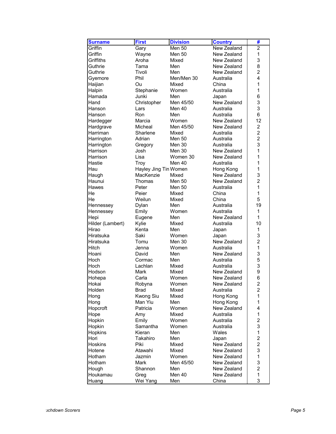| <b>Surname</b>   | <b>First</b>          | <b>Division</b> | <b>Country</b> | #                       |
|------------------|-----------------------|-----------------|----------------|-------------------------|
| Griffin          | Gary                  | Men 50          | New Zealand    | $\overline{2}$          |
| Griffin          | Wayne                 | Men 50          | New Zealand    | $\mathbf{1}$            |
| Griffiths        | Aroha                 | Mixed           | New Zealand    | 3                       |
| Guthrie          | Tama                  | Men             | New Zealand    | 8                       |
| Guthrie          | Tivoli                | Men             | New Zealand    | $\overline{2}$          |
| Gyemore          | Phil                  | Men/Men 30      | Australia      | 4                       |
| Haijian          | Ou                    | Mixed           | China          | 1                       |
| Halpin           | Stephanie             | Women           | Australia      | 1                       |
| Hamada           | Junki                 | Men             | Japan          | 6                       |
| Hand             | Christopher           | Men 45/50       | New Zealand    | 3                       |
| Hanson           | Lars                  | Men 40          | Australia      | 3                       |
| Hanson           | Ron                   | Men             | Australia      | 6                       |
| Hardegger        | Marcia                | Women           | New Zealand    | 12                      |
| Hardgrave        | Micheal               | Men 45/50       | New Zealand    | $\overline{c}$          |
| Harriman         | Sharlene              | Mixed           | Australia      | $\overline{2}$          |
| Harrington       | Adrian                | Men 50          | Australia      | $\overline{2}$          |
| Harrington       | Gregory               | Men 30          | Australia      | 3                       |
| Harrison         | Josh                  | Men 30          | New Zealand    | 1                       |
| Harrison         | Lisa                  | Women 30        | New Zealand    | 1                       |
| Hastie           | Troy                  | Men 40          | Australia      | 1                       |
| Hau              | Hayley Jing Tin Women |                 | Hong Kong      | 1                       |
| Haugh            | MacKenzie             | Mixed           | New Zealand    | 3                       |
| Haunui           | Thomas                | Men 50          | New Zealand    | $\overline{2}$          |
| Hawes            | Peter                 | Men 50          | Australia      | 1                       |
| He               | Peier                 | Mixed           | China          | 1                       |
| He               | Weilun                | Mixed           | China          | 5                       |
| Hennessey        | Dylan                 | Men             | Australia      | 19                      |
| Hennessey        | Emily                 | Women           | Australia      | 1                       |
| Hepi             | Eugene                | Men             | New Zealand    | 1                       |
| Hilder (Lambert) | Kylie                 | Mixed           | Australia      | 10                      |
| Hirao            | Kenta                 | Men             | Japan          | 1                       |
| Hiratsuka        | Saki                  | Women           | Japan          | 3                       |
| Hiratsuka        | Tomu                  | Men 30          | New Zealand    | $\overline{c}$          |
| Hitch            | Jenna                 | Women           | Australia      | 1                       |
| Hoani            | David                 | Men             | New Zealand    | 3                       |
| Hoch             | Cormac                | Men             | Australia      | 5                       |
| Hoch             | Lachlan               | Mixed           | Australia      | 3                       |
| Hodson           | Mark                  | Mixed           | New Zealand    | 9                       |
| Hohepa           | Carla                 | Women           | New Zealand    | 6                       |
| Hokai            | Robyna                | Women           | New Zealand    | $\overline{\mathbf{c}}$ |
| Holden           | <b>Brad</b>           | Mixed           | Australia      | 2                       |
| Hong             | Kwong Siu             | Mixed           | Hong Kong      | 1                       |
| Hong             | Man Yiu               | Men             | Hong Kong      | 1                       |
| Hopcroft         | Patricia              | Women           | New Zealand    | 4                       |
| Hope             | Amy                   | Mixed           | Australia      | 1                       |
| Hopkin           | Emily                 | Women           | Australia      | $\overline{c}$          |
| Hopkin           | Samantha              | Women           | Australia      | 3                       |
| Hopkins          | Kieran                | Men             | Wales          | 1                       |
| Hori             | Takahiro              | Men             | Japan          | $\overline{c}$          |
| <b>Hoskins</b>   | Piki                  | Mixed           | New Zealand    | $\overline{\mathbf{c}}$ |
| Hotene           | Atawahi               | Mixed           | New Zealand    | 3                       |
| Hotham           | Jazmin                | Women           | New Zealand    | $\mathbf 1$             |
| Hotham           | <b>Mark</b>           | Men 45/50       | New Zealand    | 3                       |
| Hough            | Shannon               | Men             | New Zealand    | $\overline{c}$          |
| Houkamau         | Greg                  | Men 40          | New Zealand    | 1                       |
| Huang            | Wei Yang              | Men             | China          | 3                       |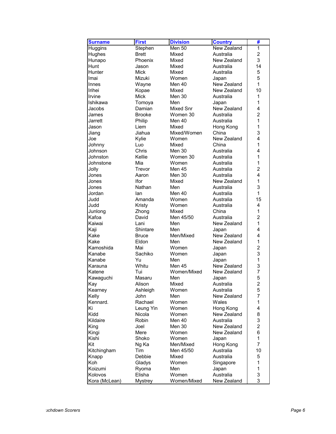| <b>Surname</b> | <b>First</b>   | <b>Division</b> | <b>Country</b>     | #                   |
|----------------|----------------|-----------------|--------------------|---------------------|
| Huggins        | Stephen        | <b>Men 50</b>   | New Zealand        | 1                   |
| Hughes         | <b>Brett</b>   | Mixed           | Australia          | $\overline{a}$      |
| Hunapo         | Phoenix        | Mixed           | New Zealand        | 3                   |
| Hunt           | Jason          | Mixed           | Australia          | 14                  |
| Hunter         | Mick           | Mixed           | Australia          | 5                   |
| Imai           | Mizuki         | Women           | Japan              | 5                   |
| Innes          | Wayne          | Men 40          | New Zealand        | $\mathbf{1}$        |
| <b>Irihei</b>  | Kopae          | Mixed           | New Zealand        | 10                  |
| Irvine         | <b>Mick</b>    | Men 30          | Australia          | 1                   |
| Ishikawa       | Tomoya         | Men             | Japan              | 1                   |
| Jacobs         | Damian         | Mixed Snr       | New Zealand        | 4                   |
| James          | <b>Brooke</b>  | Women 30        | Australia          | $\overline{2}$      |
| Jarrett        | Philip         | Men 40          | Australia          | $\mathbf{1}$        |
| Jason          | Liem           | Mixed           | Hong Kong          | 1                   |
| Jiang          | Jiahua         | Mixed/Women     | China              | 3                   |
| Joe            | Kylie          | Women           | New Zealand        | 4                   |
| Johnny         | Luo            | Mixed           | China              | 1                   |
| <b>Johnson</b> | Chris          | Men 30          | Australia          | 4                   |
| Johnston       | Kellie         | Women 30        | Australia          | 1                   |
| Johnstone      | Mia            | Women           | Australia          | $\mathbf{1}$        |
| Jolly          | Trevor         | Men 45          | Australia          | $\overline{2}$      |
| Jones          | Aaron          | Men 30          | Australia          | 4                   |
| Jones          | Ifor           | Mixed           | New Zealand        | 1                   |
| Jones          |                |                 | Australia          | 3                   |
|                | Nathan         | Men<br>Men 40   | Australia          | $\mathbf{1}$        |
| Jordan         | lan            |                 |                    |                     |
| Judd           | Amanda         | Women           | Australia          | 15                  |
| Judd           | Kristy         | Women           | Australia<br>China | 4<br>$\overline{1}$ |
| Junlong        | Zhong          | Mixed           |                    |                     |
| Kafoa          | David          | Men 45/50       | Australia          | $\overline{c}$      |
| Kaiwai         | Lani           | Men             | New Zealand        | 1                   |
| Kaji           | Shintare       | Men             | Japan              | 4<br>4              |
| Kake           | <b>Bruce</b>   | Men/Mixed       | New Zealand        |                     |
| Kake           | Eldon          | Men             | New Zealand        | $\mathbf 1$         |
| Kamoshida      | Mai            | Women           | Japan              | $\overline{c}$      |
| Kanabe         | Sachiko        | Women           | Japan              | 3                   |
| Kanabe         | Yu             | Men             | Japan              | 1                   |
| Karauna        | Whitu          | Men 45          | New Zealand        | 3                   |
| Katene         | Tui            | Women/Mixed     | New Zealand        | 7                   |
| Kawaguchi      | Masaru         | Men             | Japan              | 5                   |
| Kay            | Alison         | Mixed           | Australia          | $\overline{c}$      |
| Kearney        | Ashleigh       | Women           | Australia          | 5                   |
| Kelly          | John           | Men             | New Zealand        | 7                   |
| Kennard.       | Rachael        | Women           | Wales              | 1                   |
| Κi             | Leung Yin      | Women           | Hong Kong          | 4                   |
| Kidd           | Nicola         | Women           | New Zealand        | 8                   |
| Kildaire       | <b>Robin</b>   | Men 40          | Australia          | 3                   |
| King           | Joel           | Men 30          | New Zealand        | $\overline{c}$      |
| Kingi          | Mere           | Women           | New Zealand        | 6                   |
| Kishi          | Shoko          | Women           | Japan              | 1                   |
| Kit            | Ng Ka          | Men/Mixed       | Hong Kong          | 7                   |
| Kitchingham    | Tim            | Men 45/50       | Australia          | 10                  |
| Knapp          | Debbie         | Mixed           | Australia          | 5                   |
| Koh            | Gladys         | Women           | Singapore          | 1                   |
| Koizumi        | Ryoma          | Men             | Japan              | 1                   |
| Kolovos        | Elisha         | Women           | Australia          | 3                   |
| Kora (McLean)  | <b>Mystrey</b> | Women/Mixed     | New Zealand        | 3                   |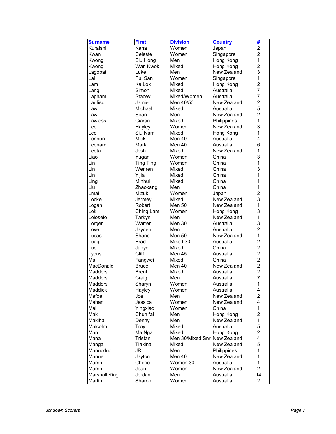| <b>Surname</b>       | <b>First</b>     | <b>Division</b>              | <b>Country</b> | #              |
|----------------------|------------------|------------------------------|----------------|----------------|
| Kuraishi             | Kana             | Women                        | Japan          | $\overline{2}$ |
| Kwan                 | Celeste          | Women                        | Singapore      | $\overline{2}$ |
| Kwong                | Siu Hong         | Men                          | Hong Kong      | $\mathbf{1}$   |
| Kwong                | Wan Kwok         | Mixed                        | Hong Kong      | $\overline{c}$ |
| Lagopati             | Luke             | Men                          | New Zealand    | 3              |
| Lai                  | Pui San          | Women                        | Singapore      | $\overline{1}$ |
| Lam                  | Ka Lok           | Mixed                        | Hong Kong      | $\overline{2}$ |
| Lang                 | Simon            | Mixed                        | Australia      | 7              |
| Lapham               | Stacey           | Mixed/Women                  | Australia      | 7              |
| Laufiso              | Jamie            | Men 40/50                    | New Zealand    | $\overline{c}$ |
| Law                  | Michael          | Mixed                        | Australia      | 5              |
| Law                  | Sean             | Men                          | New Zealand    | $\overline{2}$ |
| Lawless              | Ciaran           | Mixed                        | Philippines    | $\mathbf{1}$   |
| Lee                  | Hayley           | Women                        | New Zealand    | 3              |
| Lee                  | Siu Nam          | Mixed                        | Hong Kong      | $\overline{1}$ |
| Lennon               | <b>Mick</b>      | Men 40                       | Australia      | 4              |
| Leonard              | Mark             | Men 40                       | Australia      | 6              |
| Leota                | Josh             | Mixed                        | New Zealand    | 1              |
| Liao                 | Yugan            | Women                        | China          | 3              |
| Lin                  | <b>Ting Ting</b> | Women                        | China          | $\mathbf{1}$   |
| Lin                  | Wenren           | Mixed                        | China          | 3              |
|                      |                  | Mixed                        | China          | 1              |
| Lin                  | Yijia<br>Minhui  | Mixed                        | China          | 1              |
| Ling                 |                  |                              |                |                |
| Liu                  | Zhaokang         | Men                          | China          | 1              |
| Lmai                 | Mizuki           | Women                        | Japan          | $\overline{c}$ |
| Locke                | Jermey           | Mixed                        | New Zealand    | 3              |
| Logan                | Robert           | <b>Men 50</b>                | New Zealand    | $\mathbf{1}$   |
| Lok                  | Ching Lam        | Women                        | Hong Kong      | 3              |
| Loloselo             | Tarkyn           | Men                          | New Zealand    | 1              |
| Lorger               | Warren           | Men 30                       | Australia      | 3              |
| Love                 | Jayden           | Men                          | Australia      | $\overline{2}$ |
| Lucas                | Shane            | Men 50                       | New Zealand    | $\mathbf{1}$   |
| Lugg                 | <b>Brad</b>      | Mixed 30                     | Australia      | $\overline{c}$ |
| Luo                  | Junye            | Mixed                        | China          | $\overline{2}$ |
| Lyons                | Cliff            | Men 45                       | Australia      | $\overline{c}$ |
| Ма                   | Fangwei          | Mixed                        | China          | $\overline{c}$ |
| MacDonald            | <b>Bruce</b>     | Men 40                       | New Zealand    | $\overline{2}$ |
| <b>Madders</b>       | Brent            | Mixed                        | Australia      | $\overline{c}$ |
| Madders              | Craig            | Men                          | Australia      | $\overline{7}$ |
| Madders              | Sharyn           | Women                        | Australia      | $\mathbf 1$    |
| Maddick              | Hayley           | Women                        | Australia      | 4              |
| Mafoe                | Joe              | Men                          | New Zealand    | $\overline{2}$ |
| Mahar                | Jessica          | Women                        | New Zealand    | 4              |
| Mai                  | Yingxiao         | Women                        | China          | 1              |
| Mak                  | Chun fai         | Men                          | Hong Kong      | $\overline{2}$ |
| Makiha               | Denny            | Men                          | New Zealand    | 1              |
| Malcolm              | Troy             | Mixed                        | Australia      | 5              |
| Man                  | Ma Nga           | Mixed                        | Hong Kong      | $\overline{c}$ |
| Mana                 | Tristan          | Men 30/Mixed Snr New Zealand |                | 4              |
| Manga                | Tiakina          | Mixed                        | New Zealand    | 5              |
| Manucduc             | JR               | Men                          | Philippines    | 1              |
| Manuel               | Jayton           | Men 40                       | New Zealand    | 1              |
| Marsh                | Cherie           | Women 30                     | Australia      | 1              |
| Marsh                | Jean             | Women                        | New Zealand    | $\overline{2}$ |
| <b>Marshall King</b> | Jordan           | Men                          | Australia      | 14             |
| Martin               | Sharon           | Women                        | Australia      | $\overline{2}$ |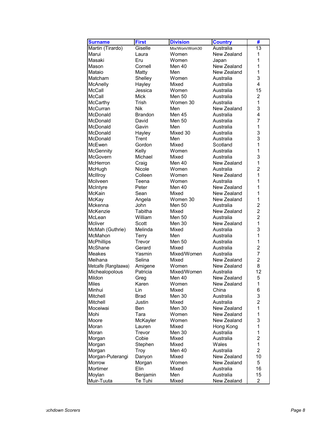| <b>Surname</b>             | <b>First</b>     | <b>Division</b> | <b>Country</b> | #              |
|----------------------------|------------------|-----------------|----------------|----------------|
| Martin (Tirardo)           | Giselle          | Mix/Wom/Wom30   | Australia      | 13             |
| Marui                      | Laura            | Women           | New Zealand    | 1              |
| Masaki                     | Eru              | Women           | Japan          | 1              |
| Mason                      | Cornell          | Men 40          | New Zealand    | 1              |
| Mataio                     | Matty            | Men             | New Zealand    | 1              |
| Matcham                    | Shelley          | Women           | Australia      | 3              |
| McAnelly                   | Hayley           | Mixed           | Australia      | 4              |
| <b>McCall</b>              | Jessica          | Women           | Australia      | 15             |
| <b>McCall</b>              | <b>Mick</b>      | <b>Men 50</b>   | Australia      | $\overline{c}$ |
| <b>McCarthy</b>            | Trish            | Women 30        | Australia      | $\mathbf{1}$   |
| McCurran                   | Nik              | Men             | New Zealand    | 3              |
| McDonald                   | <b>Brandon</b>   | Men 45          | Australia      | 4              |
| McDonald                   | David            | <b>Men 50</b>   | Australia      | 7              |
| McDonald                   | Gavin            | Men             | Australia      | 1              |
| McDonald                   | Hayley           | Mixed 30        | Australia      | 3              |
| McDonald                   | Trent            | Men             | Australia      | 3              |
| McEwen                     | Gordon           | Mixed           | Scotland       | 1              |
| McGennity                  | Kelly            | Women           | Australia      | 1              |
| McGovern                   | Michael          | Mixed           | Australia      | 3              |
| <b>McHerron</b>            | Craig            | Men 40          | New Zealand    | 1              |
| McHugh                     | Nicole           | Women           | Australia      | $\overline{2}$ |
| McIllroy                   | Colleen          | Women           | New Zealand    | 1              |
| Mcilveen                   | Teena            | Women           | Australia      | 1              |
| McIntyre                   | Peter            | Men 40          | New Zealand    | 1              |
| McKain                     | Sean             | Mixed           | New Zealand    | 1              |
| McKay                      | Angela           | Women 30        | New Zealand    | 1              |
| Mckenna                    | John             | <b>Men 50</b>   | Australia      | $\overline{2}$ |
| McKenzie                   | Tabitha          | Mixed           | New Zealand    | $\overline{2}$ |
| McLean                     | William          | <b>Men 50</b>   | Australia      | $\overline{2}$ |
| <b>Mcliver</b>             | Scott            | Men 30          | New Zealand    | $\mathbf{1}$   |
| McMah (Guthrie)            | Melinda          | Mixed           | Australia      | 3              |
| McMahon                    | Terry            | Men             | Australia      | 1              |
| <b>McPhillips</b>          | Trevor           | <b>Men 50</b>   | Australia      | $\mathbf{1}$   |
| McShane                    | Gerard           | Mixed           | Australia      | $\overline{c}$ |
| <b>Meakes</b>              | Yasmin           | Mixed/Women     | Australia      | 7              |
| Meihana                    | Selina           | Mixed           | New Zealand    | $\overline{2}$ |
| Metcalfe (Rangitaawa)      | Amigene          | Women           | New Zealand    | 8              |
| Michealopolous             | Patricia         | Mixed/Women     | Australia      | 12             |
| Mildon                     | Greg             | Men 40          | New Zealand    | 5              |
| <b>Miles</b>               | Karen            | Women           | New Zealand    | $\mathbf{1}$   |
| Minhui                     | Lin              | Mixed           | China          | 6              |
| Mitchell                   | <b>Brad</b>      | Men 30          | Australia      | 3              |
| Mitchell                   | Justin           | Mixed           | Australia      | $\overline{c}$ |
| Moceiwai                   | Ben              | Men 30          | New Zealand    | 1              |
| Mohi                       | Tara             | Women           | New Zealand    | 1              |
| Moore                      | McKayler         | Women           | New Zealand    | 3              |
| Moran                      | Lauren           | Mixed           | Hong Kong      | 1              |
| Moran                      | Trevor           | Men 30          | Australia      | 1              |
| Morgan                     | Cobie            | Mixed           | Australia      | $\overline{c}$ |
|                            | Stephen          | Mixed           | Wales          | 1              |
| Morgan                     |                  | Men 40          | Australia      | $\overline{c}$ |
| Morgan                     | Troy             | Mixed           | New Zealand    | 10             |
| Morgan-Puterangi<br>Morrow | Danyon<br>Morgan | Women           | New Zealand    | 5              |
| Mortimer                   | Elin             | Mixed           | Australia      | 16             |
|                            |                  | Men             | Australia      | 15             |
| Moylan                     | Benjamin         |                 |                |                |
| Muir-Tuuta                 | Te Tuhi          | Mixed           | New Zealand    | $\overline{a}$ |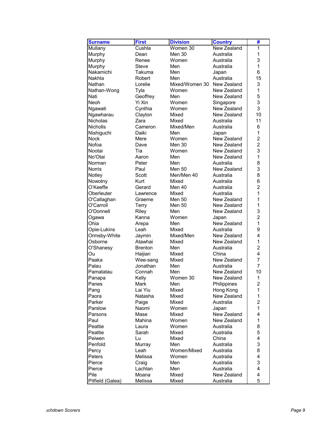| <b>Surname</b>   | <b>First</b>   | <b>Division</b>               | <b>Country</b>     | #              |
|------------------|----------------|-------------------------------|--------------------|----------------|
| Mullany          | Cushla         | $\overline{\text{W}}$ omen 30 | <b>New Zealand</b> | 1              |
| Murphy           | Dean           | Men 30                        | Australia          | 1              |
| Murphy           | Renee          | Women                         | Australia          | 3              |
| Murphy           | Steve          | Men                           | Australia          | 1              |
| Nakamichi        | Takuma         | Men                           | Japan              | 6              |
| Nakhla           | Robert         | Men                           | Australia          | 15             |
| Nathan           | Lorelie        | Mixed/Women 30                | New Zealand        | 3              |
| Nathan-Wong      | Tyla           | Women                         | New Zealand        | 1              |
| Nati             | Geoffrey       | Men                           | New Zealand        | 5              |
| Neoh             | Yi Xin         | Women                         | Singapore          | 3              |
| Ngawati          | Cynthia        | Women                         | New Zealand        | 3              |
| Ngawharau        | Clayton        | Mixed                         | New Zealand        | 10             |
| Nicholas         | Zara           | Mixed                         | Australia          | 11             |
| <b>Nicholls</b>  | Cameron        | Mixed/Men                     | Australia          | 6              |
| Nishiguchi       | Daiki          | Men                           | Japan              | 1              |
| <b>Nock</b>      | Mere           | Women                         | New Zealand        | $\overline{c}$ |
| Nofoa            | Dave           | Men 30                        | New Zealand        | $\overline{2}$ |
| Nootai           | Tia            | Women                         | New Zealand        | 3              |
| No'Otai          | Aaron          | Men                           | New Zealand        | 1              |
| Norman           | Peter          | Men                           | Australia          | 8              |
| Norris           | Paul           | <b>Men 50</b>                 | New Zealand        | 3              |
| Notley           | Scott          | Men/Men 40                    | Australia          | 8              |
| Nowotny          | Kurt           | Mixed                         | Australia          | 6              |
| O'Keeffe         | Gerard         | Men 40                        | Australia          | $\overline{c}$ |
| Oberleuter       | Lawrence       | Mixed                         | Australia          | 1              |
| O'Callaghan      | Graeme         | Men 50                        | New Zealand        | 1              |
| O'Carroll        | Terry          | <b>Men 50</b>                 | New Zealand        | 1              |
| O'Donnell        | Riley          | Men                           | New Zealand        | 3              |
| Ogawa            | Kanna          | Women                         | Japan              | $\overline{2}$ |
| Ohia             | Arepa          | Men                           | New Zealand        | $\mathbf{1}$   |
| Opie-Lukins      | Leah           | Mixed                         | Australia          | 9              |
| Ormsby-White     | Jaymin         | Mixed/Men                     | New Zealand        | 4              |
| Osborne          | Atawhai        | Mixed                         | New Zealand        | 1              |
| O'Shanesy        | <b>Brenton</b> | Men                           | Australia          | $\overline{c}$ |
| Ou               | Haijian        | Mixed                         | China              | 4              |
| Paaka            | Wee-sang       | Mixed                         | New Zealand        | 7              |
| Palau            | Jonathan       | Men                           | Australia          | 7              |
| Pamatatau        | Connah         | Men                           | New Zealand        | 10             |
| Panapa           | Kelly          | Women 30                      | New Zealand        | 1              |
| Panes            | Mark           | Men                           | Philippines        | $\overline{c}$ |
| Pang             | Lai Yiu        | Mixed                         | Hong Kong          | 1              |
| Paora            | Natasha        | Mixed                         | New Zealand        | 1              |
| Parker           | Paige          | Mixed                         | Australia          | $\overline{2}$ |
| Parslow          | Naomi          | Women                         | Japan              | 1              |
| Parsons          | Mase           | Mixed                         | New Zealand        | 4              |
| Paul             | Mahina         | Women                         | New Zealand        | 1              |
| Peattie          | Laura          | Women                         | Australia          | 8              |
| Peattie          | Sarah          | Mixed                         | Australia          | 5              |
| Peiwen           | Lu             | Mixed                         | China              | 4              |
| Penfold          | Murray         | Men                           | Australia          | 3              |
| Percy            | Leah           | Women/Mixed                   | Australia          | 8              |
| Peters           | Melissa        | Women                         | Australia          | 4              |
| Pierce           | Craig          | Men                           | Australia          | 3              |
| Pierce           | Lachlan        | Men                           | Australia          | 4              |
| Pile             | Moana          | Mixed                         | New Zealand        | 4              |
| Pitfield (Galea) | Melissa        | Mixed                         | Australia          | 5              |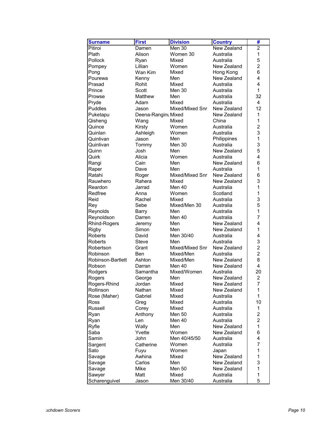| <b>Surname</b>    | <b>First</b>        | <b>Division</b> | <b>Country</b> | #              |
|-------------------|---------------------|-----------------|----------------|----------------|
| Pitiroi           | Damen               | $Men$ 30        | New Zealand    | $\overline{c}$ |
| Plath             | Alison              | Women 30        | Australia      | $\mathbf{1}$   |
| Pollock           | Ryan                | Mixed           | Australia      | 5              |
| Pompey            | Lillian             | Women           | New Zealand    | $\overline{c}$ |
| Pong              | Wan Kim             | Mixed           | Hong Kong      | 6              |
| Pourewa           | Kenny               | Men             | New Zealand    | 4              |
| Prasad            | Rohit               | Mixed           | Australia      | 4              |
| Prince            | Scott               | Men 30          | Australia      | $\mathbf{1}$   |
| Prowse            | Matthew             | Men             | Australia      | 32             |
| Pryde             | Adam                | Mixed           | Australia      | $\overline{4}$ |
| <b>Puddles</b>    | Jason               | Mixed/Mixed Snr | New Zealand    | 12             |
| Puketapu          | Deena-Rangint Mixed |                 | New Zealand    | 1              |
| Qisheng           | Wang                | Mixed           | China          | 1              |
| Quince            | Kirsty              | Women           | Australia      | $\overline{2}$ |
| Quinlan           | Ashleigh            | Women           | Australia      | 3              |
| Quinlivan         | Jason               | Men             | Philippines    | $\mathbf{1}$   |
| Quinlivan         | Tommy               | Men 30          | Australia      | 3              |
| Quinn             | Josh                | Men             | New Zealand    | 5              |
| Quirk             | Alicia              | Women           | Australia      | 4              |
| Rangi             | Cain                | Men             | New Zealand    | 6              |
| Raper             | Dave                | Men             | Australia      | 1              |
| Ratahi            | Roger               | Mixed/Mixed Snr | New Zealand    | 6              |
| Rauwhero          | Rahera              | Mixed           | New Zealand    | 3              |
| Reardon           | Jarrad              | Men 40          | Australia      | 1              |
| Redfree           | Anna                | Women           | Scotland       | 1              |
| Reid              | Rachel              | Mixed           | Australia      | 3              |
| Rey               | Sebe                | Mixed/Men 30    | Australia      | 5              |
| Reynolds          | Barry               | Men             | Australia      | $\mathbf{1}$   |
| Reynoldson        | Darren              | Men 40          | Australia      | 7              |
| Rhind-Rogers      | Jeremy              | Men             | New Zealand    | 4              |
| <b>Rigby</b>      | Simon               | Men             | New Zealand    | 1              |
| Roberts           | David               | Men 30/40       | Australia      | 4              |
| Roberts           | Steve               | Men             | Australia      | 3              |
| Robertson         | Grant               | Mixed/Mixed Snr | New Zealand    | $\overline{2}$ |
| Robinson          | Ben                 | Mixed/Men       | Australia      | $\overline{2}$ |
| Robinson-Bartlett | Ashton              | Mixed/Men       | New Zealand    | 8              |
| Robson            | Darran              | Men 40          | New Zealand    | $\overline{4}$ |
| Rodgers           | Samantha            | Mixed/Women     | Australia      | 20             |
| Rogers            | George              | Men             | New Zealand    | $\overline{c}$ |
| Rogers-Rhind      | Jordan              | Mixed           | New Zealand    | $\overline{7}$ |
| Rollinson         | Nathan              | Mixed           | New Zealand    | 1              |
| Rose (Maher)      | Gabriel             | Mixed           | Australia      | 1              |
| <b>Ross</b>       | Greg                | Mixed           | Australia      | 10             |
| Russell           | Corey               | Mixed           | Australia      | 1              |
| Ryan              | Anthony             | <b>Men 50</b>   | Australia      | $\overline{c}$ |
| Ryan              | Len                 | Men 40          | Australia      | $\overline{c}$ |
| Ryfle             | Wally               | Men             | New Zealand    | 1              |
| Saba              | Yvette              | Women           | New Zealand    | 6              |
| Samin             | <b>John</b>         | Men 40/45/50    | Australia      | 4              |
| Sargent           | Catherine           | Women           | Australia      | 7              |
| Sato              | Fuyu                | Women           | Japan          | 1              |
| Savage            | Awhina              | Mixed           | New Zealand    | 1              |
| Savage            | Carlos              | Men             | New Zealand    | 3              |
| Savage            | Mike                | Men 50          | New Zealand    | 1              |
| Sawyer            | Matt                | Mixed           | Australia      | 1              |
| Scharenguivel     | Jason               | Men 30/40       | Australia      | 5              |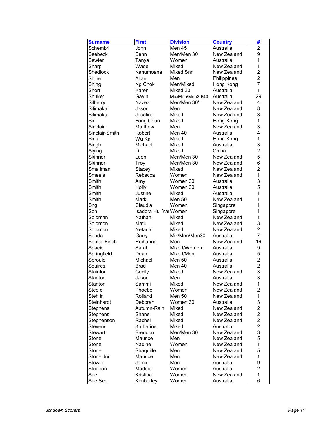| <b>Surname</b> | <b>First</b>          | <b>Division</b>  | <b>Country</b>         | #                       |
|----------------|-----------------------|------------------|------------------------|-------------------------|
| Schembri       | John                  | <b>Men 45</b>    | Australia              | $\overline{2}$          |
| Seebeck        | Benn                  | Men/Men 30       | New Zealand            | 9                       |
| Sewter         | Tanya                 | Women            | Australia              | 1                       |
| Sharp          | Wade                  | Mixed            | New Zealand            | 1                       |
| Shedlock       | Kahumoana             | Mixed Snr        | New Zealand            | $\overline{2}$          |
| Shine          | Allan                 | Men              |                        | $\overline{2}$          |
|                |                       | Men/Mixed        | Philippines            | 7                       |
| Shing<br>Short | Ng Chok               |                  | Hong Kong              | $\mathbf{1}$            |
| Shuker         | Karen                 | Mixed 30         | Australia<br>Australia |                         |
|                | Gavin                 | Mix/Men/Men30/40 |                        | 29                      |
| Silberry       | Nazea                 | Men/Men 30*      | New Zealand            | 4                       |
| Silimaka       | Jason                 | Men              | New Zealand            | 8                       |
| Silimaka       | Josalina              | Mixed            | New Zealand            | 3                       |
| Sin            | Fong Chun             | Mixed            | Hong Kong              | $\mathbf{1}$            |
| Sinclair       | Matthew               | Men              | New Zealand            | 3                       |
| Sinclair-Smith | Robert                | Men 40           | Australia              | 4                       |
| Sing           | Wu Ka                 | Mixed            | Hong Kong              | 1                       |
| Singh          | Michael               | Mixed            | Australia              | 3                       |
| Siying         | Li                    | Mixed            | China                  | $\overline{c}$          |
| <b>Skinner</b> | Leon                  | Men/Men 30       | New Zealand            | 5                       |
| Skinner        | <b>Troy</b>           | Men/Men 30       | New Zealand            | 6                       |
| Smallman       | Stacey                | Mixed            | New Zealand            | $\overline{2}$          |
| Smeele         | Rebecca               | Women            | New Zealand            | $\mathbf{1}$            |
| Smith          | Amy                   | Women 30         | Australia              | 3                       |
| Smith          | Holly                 | Women 30         | Australia              | 5                       |
| Smith          | Justine               | Mixed            | Australia              | 1                       |
| Smith          | Mark                  | <b>Men 50</b>    | New Zealand            | 1                       |
| Sng            | Claudia               | Women            | Singapore              | 1                       |
| Soh            | Isadora Hui Yar Women |                  | Singapore              | 1                       |
| Soloman        | Nathan                | Mixed            | New Zealand            | 1                       |
| Solomon        | Matiu                 | Mixed            | New Zealand            | 3                       |
| Solomon        | Netana                | Mixed            | New Zealand            | $\overline{2}$          |
| Sonda          | Garry                 | Mix/Men/Men30    | Australia              | 7                       |
| Soutar-Finch   | Reihanna              | Men              | New Zealand            | 16                      |
| Spacie         | Sarah                 | Mixed/Women      | Australia              | 9                       |
| Springfield    | Dean                  | Mixed/Men        | Australia              | 5                       |
| Sproule        | Michael               | Men 50           | Australia              | $\overline{c}$          |
| Squires        | Brad                  | Men 40           | Australia              | $\overline{2}$          |
| Stainton       | Cecily                | Mixed            | New Zealand            | 3                       |
| Stanton        | Jason                 | Men              | Australia              | 3                       |
| Stanton        | Sammi                 | Mixed            | New Zealand            | $\mathbf 1$             |
| Steele         | Phoebe                | Women            | New Zealand            | 2                       |
| <b>Stehlin</b> | Rolland               | Men 50           | New Zealand            | 1                       |
| Steinhardt     | Deborah               | Women 30         | Australia              | 3                       |
| Stephens       | Autumn-Rain           | Mixed            | New Zealand            | 2                       |
| Stephens       | Shane                 | Mixed            | New Zealand            | $\overline{c}$          |
| Stephenson     | Rachel                | Mixed            | New Zealand            | $\overline{c}$          |
|                |                       |                  | Australia              |                         |
| <b>Stevens</b> | Katherine             | Mixed            |                        | $\overline{\mathbf{c}}$ |
| <b>Stewart</b> | <b>Brendon</b>        | Men/Men 30       | New Zealand            | 3                       |
| Stone          | Maurice               | Men              | New Zealand            | 5                       |
| Stone          | Nadine                | Women            | New Zealand            | 1                       |
| Stone          | Shaquille             | Men              | New Zealand            | 5                       |
| Stone Jnr.     | Maurice               | Men              | New Zealand            | 1                       |
| Stowie         | Jamie                 | Men              | Australia              | 9                       |
| Studdon        | Maddie                | Women            | Australia              | $\overline{c}$          |
| Sue            | Kristina              | Women            | New Zealand            | 1                       |
| Sue See        | Kimberley             | Women            | Australia              | 6                       |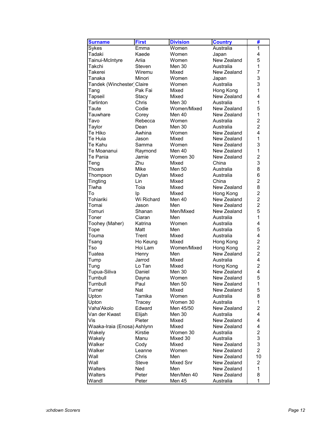| <b>Surname</b>              | <b>First</b> | <b>Division</b> | <b>Country</b> | #              |
|-----------------------------|--------------|-----------------|----------------|----------------|
| Sykes                       | Emma         | Women           | Australia      | 1              |
| Tadaki                      | Kaede        | Women           | Japan          | 4              |
| Tainui-McIntyre             | Ariia        | Women           | New Zealand    | 5              |
| Takchi                      | Steven       | Men 30          | Australia      | 1              |
| Takerei                     | Wiremu       | Mixed           | New Zealand    | 7              |
| Tanaka                      | Minori       | Women           | Japan          | 3              |
| Tandek (Winchester) Claire  |              | Women           | Australia      | 3              |
| Tang                        | Pak Fai      | Mixed           | Hong Kong      | 1              |
| Tapseil                     | Stacy        | Mixed           | New Zealand    | 4              |
| Tarlinton                   | Chris        | Men 30          | Australia      | 1              |
| Taute                       | Codie        | Women/Mixed     | New Zealand    | 5              |
| Tauwhare                    | Corey        | Men 40          | New Zealand    | $\mathbf{1}$   |
| Tavo                        | Rebecca      | Women           | Australia      | $\overline{2}$ |
| Taylor                      | Dean         | <b>Men 30</b>   | Australia      | $\overline{2}$ |
| Te Hiko                     | Awhina       | Women           | New Zealand    | 4              |
| Te Huia                     | Jason        | Mixed           | New Zealand    | 1              |
| Te Kahu                     | Samma        | Women           | New Zealand    | 3              |
| Te Moananui                 | Raymond      | Men 40          | New Zealand    | 1              |
| Te Pania                    | Jamie        | Women 30        | New Zealand    | $\overline{2}$ |
| Teng                        | Zhu          | Mixed           | China          | 3              |
| <b>Thoars</b>               | Mike         | <b>Men 50</b>   | Australia      | 8              |
| Thompson                    | Dylan        | Mixed           | Australia      | 6              |
| Tingting                    | Lin          | Mixed           | China          | $\overline{2}$ |
| Tiwha                       | Toia         | Mixed           | New Zealand    | 8              |
| To                          | Ip           | Mixed           | Hong Kong      | $\overline{c}$ |
| Tohiariki                   | Wi Richard   | Men 40          | New Zealand    | $\overline{2}$ |
| Tomai                       | Jason        | Men             | New Zealand    | $\overline{2}$ |
| Tomuri                      | Shanan       | Men/Mixed       | New Zealand    | 5              |
| Toner                       | Ciaran       | Men             | Australia      | 1              |
| Toohey (Maher)              | Katrina      | Women           | Australia      | 4              |
| Tope                        | Matt         | Men             | Australia      | 5              |
| Touma                       | Trent        | Mixed           | Australia      | 4              |
| Tsang                       | Ho Keung     | Mixed           | Hong Kong      | $\overline{c}$ |
| Tso                         | Hoi Lam      | Women/Mixed     | Hong Kong      | $\overline{2}$ |
| Tuatea                      | Henry        | Men             | New Zealand    | $\overline{2}$ |
| Tump                        | Jarrod       | Mixed           | Australia      | 4              |
| Tung                        | Lo Tan       | Mixed           | Hong Kong      | $\overline{2}$ |
| Tupua-Siliva                | Daniel       | Men 30          | New Zealand    | 4              |
| Turnbull                    | Dayna        | Women           | New Zealand    | 5              |
| Turnbull                    | Paul         | Men 50          | New Zealand    | $\mathbf{1}$   |
| Turner                      | Nat          | Mixed           | New Zealand    | 5              |
| Upton                       | Tamika       | Women           | Australia      | 8              |
| Upton                       | Tracey       | Women 30        | Australia      | 1              |
| Vaha'Akolo                  | Edward       | Men 45/50       | New Zealand    | $\overline{c}$ |
| Van der Kwast               | Elijah       | Men 30          | Australia      | 4              |
| Vis                         | Pieter       | Mixed           | New Zealand    | 4              |
| Waaka-Iraia (Enosa) Ashlynn |              | Mixed           | New Zealand    | 4              |
| Wakely                      | Kirstie      | Women 30        | Australia      | 2              |
| Wakely                      | Manu         | Mixed 30        | Australia      | 3              |
| Walker                      | Cody         | Mixed           | New Zealand    | 3              |
| Walker                      | Leanne       | Women           | New Zealand    | $\overline{c}$ |
| Wall                        | Chris        | Men             | New Zealand    | 10             |
| Wall                        | Steve        | Mixed Snr       | New Zealand    | 2              |
| Walters                     | Ned          | Men             | New Zealand    | $\mathbf{1}$   |
| Walters                     | Peter        | Men/Men 40      | New Zealand    | 8              |
| Wandl                       | Peter        | Men 45          | Australia      | 1              |